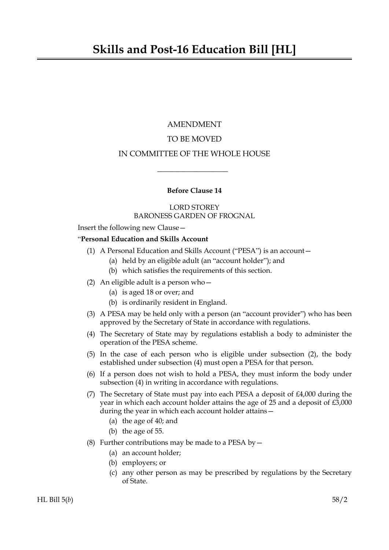## AMENDMENT

# TO BE MOVED

# IN COMMITTEE OF THE WHOLE HOUSE

 $\overline{\phantom{a}}$  , where  $\overline{\phantom{a}}$ 

## **Before Clause 14**

## LORD STOREY BARONESS GARDEN OF FROGNAL

Insert the following new Clause—

## "**Personal Education and Skills Account**

- (1) A Personal Education and Skills Account ("PESA") is an account—
	- (a) held by an eligible adult (an "account holder"); and
	- (b) which satisfies the requirements of this section.
- (2) An eligible adult is a person who—
	- (a) is aged 18 or over; and
	- (b) is ordinarily resident in England.
- (3) A PESA may be held only with a person (an "account provider") who has been approved by the Secretary of State in accordance with regulations.
- (4) The Secretary of State may by regulations establish a body to administer the operation of the PESA scheme.
- (5) In the case of each person who is eligible under subsection (2), the body established under subsection (4) must open a PESA for that person.
- (6) If a person does not wish to hold a PESA, they must inform the body under subsection (4) in writing in accordance with regulations.
- (7) The Secretary of State must pay into each PESA a deposit of £4,000 during the year in which each account holder attains the age of 25 and a deposit of £3,000 during the year in which each account holder attains—
	- (a) the age of 40; and
	- (b) the age of 55.
- (8) Further contributions may be made to a PESA by  $-$ 
	- (a) an account holder;
	- (b) employers; or
	- (c) any other person as may be prescribed by regulations by the Secretary of State.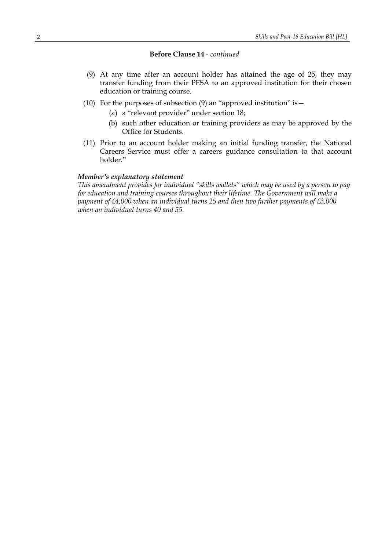#### **Before Clause 14** *- continued*

- (9) At any time after an account holder has attained the age of 25, they may transfer funding from their PESA to an approved institution for their chosen education or training course.
- (10) For the purposes of subsection  $(9)$  an "approved institution" is  $-$ 
	- (a) a "relevant provider" under section 18;
	- (b) such other education or training providers as may be approved by the Office for Students.
- (11) Prior to an account holder making an initial funding transfer, the National Careers Service must offer a careers guidance consultation to that account holder."

#### *Member's explanatory statement*

*This amendment provides for individual "skills wallets" which may be used by a person to pay for education and training courses throughout their lifetime. The Government will make a payment of £4,000 when an individual turns 25 and then two further payments of £3,000 when an individual turns 40 and 55.*